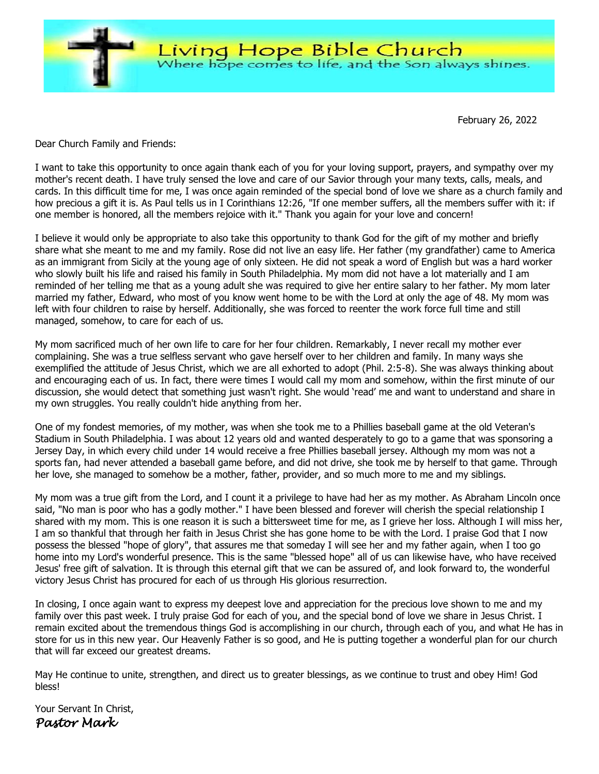

February 26, 2022

Dear Church Family and Friends:

I want to take this opportunity to once again thank each of you for your loving support, prayers, and sympathy over my mother's recent death. I have truly sensed the love and care of our Savior through your many texts, calls, meals, and cards. In this difficult time for me, I was once again reminded of the special bond of love we share as a church family and how precious a gift it is. As Paul tells us in I Corinthians 12:26, "If one member suffers, all the members suffer with it: if one member is honored, all the members rejoice with it." Thank you again for your love and concern!

I believe it would only be appropriate to also take this opportunity to thank God for the gift of my mother and briefly share what she meant to me and my family. Rose did not live an easy life. Her father (my grandfather) came to America as an immigrant from Sicily at the young age of only sixteen. He did not speak a word of English but was a hard worker who slowly built his life and raised his family in South Philadelphia. My mom did not have a lot materially and I am reminded of her telling me that as a young adult she was required to give her entire salary to her father. My mom later married my father, Edward, who most of you know went home to be with the Lord at only the age of 48. My mom was left with four children to raise by herself. Additionally, she was forced to reenter the work force full time and still managed, somehow, to care for each of us.

My mom sacrificed much of her own life to care for her four children. Remarkably, I never recall my mother ever complaining. She was a true selfless servant who gave herself over to her children and family. In many ways she exemplified the attitude of Jesus Christ, which we are all exhorted to adopt (Phil. 2:5-8). She was always thinking about and encouraging each of us. In fact, there were times I would call my mom and somehow, within the first minute of our discussion, she would detect that something just wasn't right. She would 'read' me and want to understand and share in my own struggles. You really couldn't hide anything from her.

One of my fondest memories, of my mother, was when she took me to a Phillies baseball game at the old Veteran's Stadium in South Philadelphia. I was about 12 years old and wanted desperately to go to a game that was sponsoring a Jersey Day, in which every child under 14 would receive a free Phillies baseball jersey. Although my mom was not a sports fan, had never attended a baseball game before, and did not drive, she took me by herself to that game. Through her love, she managed to somehow be a mother, father, provider, and so much more to me and my siblings.

My mom was a true gift from the Lord, and I count it a privilege to have had her as my mother. As Abraham Lincoln once said, "No man is poor who has a godly mother." I have been blessed and forever will cherish the special relationship I shared with my mom. This is one reason it is such a bittersweet time for me, as I grieve her loss. Although I will miss her, I am so thankful that through her faith in Jesus Christ she has gone home to be with the Lord. I praise God that I now possess the blessed "hope of glory", that assures me that someday I will see her and my father again, when I too go home into my Lord's wonderful presence. This is the same "blessed hope" all of us can likewise have, who have received Jesus' free gift of salvation. It is through this eternal gift that we can be assured of, and look forward to, the wonderful victory Jesus Christ has procured for each of us through His glorious resurrection.

In closing, I once again want to express my deepest love and appreciation for the precious love shown to me and my family over this past week. I truly praise God for each of you, and the special bond of love we share in Jesus Christ. I remain excited about the tremendous things God is accomplishing in our church, through each of you, and what He has in store for us in this new year. Our Heavenly Father is so good, and He is putting together a wonderful plan for our church that will far exceed our greatest dreams.

May He continue to unite, strengthen, and direct us to greater blessings, as we continue to trust and obey Him! God bless!

Your Servant In Christ, *Pastor Mark*